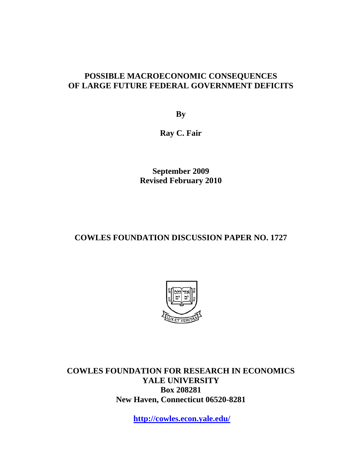### **POSSIBLE MACROECONOMIC CONSEQUENCES OF LARGE FUTURE FEDERAL GOVERNMENT DEFICITS**

**By** 

**Ray C. Fair** 

**September 2009 Revised February 2010** 

### **COWLES FOUNDATION DISCUSSION PAPER NO. 1727**



**COWLES FOUNDATION FOR RESEARCH IN ECONOMICS YALE UNIVERSITY Box 208281 New Haven, Connecticut 06520-8281** 

**http://cowles.econ.yale.edu/**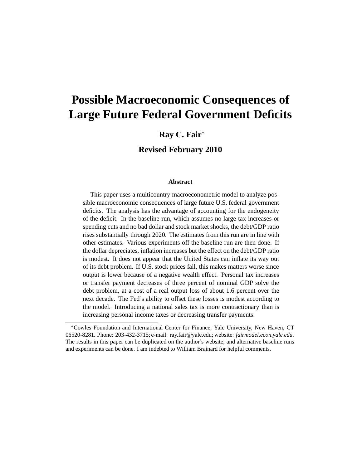# **Possible Macroeconomic Consequences of Large Future Federal Government Deficits**

#### **Ray C. Fair**<sup>∗</sup>

**Revised February 2010**

#### **Abstract**

This paper uses a multicountry macroeconometric model to analyze possible macroeconomic consequences of large future U.S. federal government deficits. The analysis has the advantage of accounting for the endogeneity of the deficit. In the baseline run, which assumes no large tax increases or spending cuts and no bad dollar and stock market shocks, the debt/GDP ratio rises substantially through 2020. The estimates from this run are in line with other estimates. Various experiments off the baseline run are then done. If the dollar depreciates, inflation increases but the effect on the debt/GDP ratio is modest. It does not appear that the United States can inflate its way out of its debt problem. If U.S. stock prices fall, this makes matters worse since output is lower because of a negative wealth effect. Personal tax increases or transfer payment decreases of three percent of nominal GDP solve the debt problem, at a cost of a real output loss of about 1.6 percent over the next decade. The Fed's ability to offset these losses is modest according to the model. Introducing a national sales tax is more contractionary than is increasing personal income taxes or decreasing transfer payments.

<sup>∗</sup>Cowles Foundation and International Center for Finance, Yale University, New Haven, CT 06520-8281. Phone: 203-432-3715; e-mail: ray.fair@yale.edu; website: *fairmodel.econ.yale.edu*. The results in this paper can be duplicated on the author's website, and alternative baseline runs and experiments can be done. I am indebted to William Brainard for helpful comments.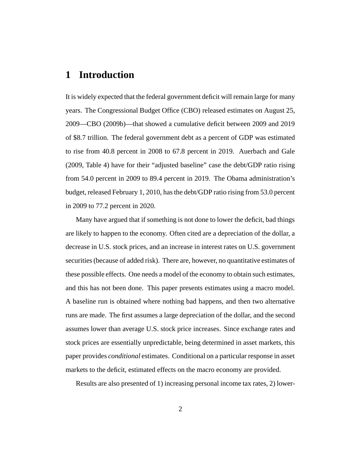# **1 Introduction**

It is widely expected that the federal government deficit will remain large for many years. The Congressional Budget Office (CBO) released estimates on August 25, 2009—CBO (2009b)—that showed a cumulative deficit between 2009 and 2019 of \$8.7 trillion. The federal government debt as a percent of GDP was estimated to rise from 40.8 percent in 2008 to 67.8 percent in 2019. Auerbach and Gale (2009, Table 4) have for their "adjusted baseline" case the debt/GDP ratio rising from 54.0 percent in 2009 to 89.4 percent in 2019. The Obama administration's budget, released February 1, 2010, has the debt/GDP ratio rising from 53.0 percent in 2009 to 77.2 percent in 2020.

Many have argued that if something is not done to lower the deficit, bad things are likely to happen to the economy. Often cited are a depreciation of the dollar, a decrease in U.S. stock prices, and an increase in interest rates on U.S. government securities (because of added risk). There are, however, no quantitative estimates of these possible effects. One needs a model of the economy to obtain such estimates, and this has not been done. This paper presents estimates using a macro model. A baseline run is obtained where nothing bad happens, and then two alternative runs are made. The first assumes a large depreciation of the dollar, and the second assumes lower than average U.S. stock price increases. Since exchange rates and stock prices are essentially unpredictable, being determined in asset markets, this paper provides *conditional* estimates. Conditional on a particular response in asset markets to the deficit, estimated effects on the macro economy are provided.

Results are also presented of 1) increasing personal income tax rates, 2) lower-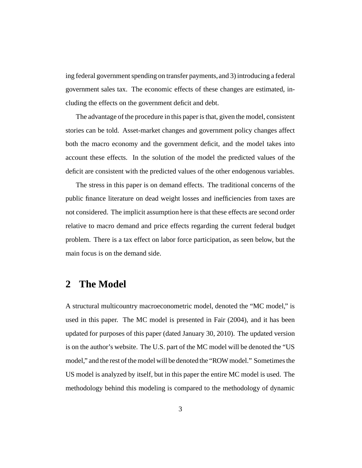ing federal government spending on transfer payments, and 3) introducing a federal government sales tax. The economic effects of these changes are estimated, including the effects on the government deficit and debt.

The advantage of the procedure in this paper is that, given the model, consistent stories can be told. Asset-market changes and government policy changes affect both the macro economy and the government deficit, and the model takes into account these effects. In the solution of the model the predicted values of the deficit are consistent with the predicted values of the other endogenous variables.

The stress in this paper is on demand effects. The traditional concerns of the public finance literature on dead weight losses and inefficiencies from taxes are not considered. The implicit assumption here is that these effects are second order relative to macro demand and price effects regarding the current federal budget problem. There is a tax effect on labor force participation, as seen below, but the main focus is on the demand side.

# **2 The Model**

A structural multicountry macroeconometric model, denoted the "MC model," is used in this paper. The MC model is presented in Fair (2004), and it has been updated for purposes of this paper (dated January 30, 2010). The updated version is on the author's website. The U.S. part of the MC model will be denoted the "US model," and the rest of the model will be denoted the "ROW model." Sometimes the US model is analyzed by itself, but in this paper the entire MC model is used. The methodology behind this modeling is compared to the methodology of dynamic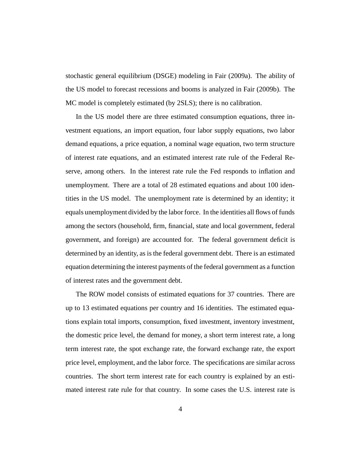stochastic general equilibrium (DSGE) modeling in Fair (2009a). The ability of the US model to forecast recessions and booms is analyzed in Fair (2009b). The MC model is completely estimated (by 2SLS); there is no calibration.

In the US model there are three estimated consumption equations, three investment equations, an import equation, four labor supply equations, two labor demand equations, a price equation, a nominal wage equation, two term structure of interest rate equations, and an estimated interest rate rule of the Federal Reserve, among others. In the interest rate rule the Fed responds to inflation and unemployment. There are a total of 28 estimated equations and about 100 identities in the US model. The unemployment rate is determined by an identity; it equals unemployment divided by the labor force. In the identities all flows of funds among the sectors (household, firm, financial, state and local government, federal government, and foreign) are accounted for. The federal government deficit is determined by an identity, as is the federal government debt. There is an estimated equation determining the interest payments of the federal government as a function of interest rates and the government debt.

The ROW model consists of estimated equations for 37 countries. There are up to 13 estimated equations per country and 16 identities. The estimated equations explain total imports, consumption, fixed investment, inventory investment, the domestic price level, the demand for money, a short term interest rate, a long term interest rate, the spot exchange rate, the forward exchange rate, the export price level, employment, and the labor force. The specifications are similar across countries. The short term interest rate for each country is explained by an estimated interest rate rule for that country. In some cases the U.S. interest rate is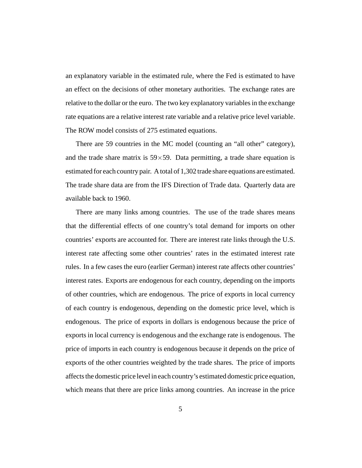an explanatory variable in the estimated rule, where the Fed is estimated to have an effect on the decisions of other monetary authorities. The exchange rates are relative to the dollar or the euro. The two key explanatory variables in the exchange rate equations are a relative interest rate variable and a relative price level variable. The ROW model consists of 275 estimated equations.

There are 59 countries in the MC model (counting an "all other" category), and the trade share matrix is  $59 \times 59$ . Data permitting, a trade share equation is estimated for each country pair. A total of 1,302 trade share equations are estimated. The trade share data are from the IFS Direction of Trade data. Quarterly data are available back to 1960.

There are many links among countries. The use of the trade shares means that the differential effects of one country's total demand for imports on other countries' exports are accounted for. There are interest rate links through the U.S. interest rate affecting some other countries' rates in the estimated interest rate rules. In a few cases the euro (earlier German) interest rate affects other countries' interest rates. Exports are endogenous for each country, depending on the imports of other countries, which are endogenous. The price of exports in local currency of each country is endogenous, depending on the domestic price level, which is endogenous. The price of exports in dollars is endogenous because the price of exports in local currency is endogenous and the exchange rate is endogenous. The price of imports in each country is endogenous because it depends on the price of exports of the other countries weighted by the trade shares. The price of imports affects the domestic price level in each country's estimated domestic price equation, which means that there are price links among countries. An increase in the price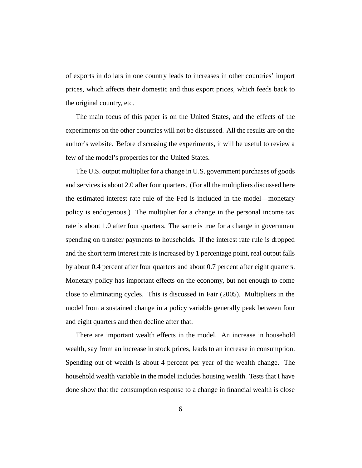of exports in dollars in one country leads to increases in other countries' import prices, which affects their domestic and thus export prices, which feeds back to the original country, etc.

The main focus of this paper is on the United States, and the effects of the experiments on the other countries will not be discussed. All the results are on the author's website. Before discussing the experiments, it will be useful to review a few of the model's properties for the United States.

The U.S. output multiplier for a change in U.S. government purchases of goods and services is about 2.0 after four quarters. (For all the multipliers discussed here the estimated interest rate rule of the Fed is included in the model—monetary policy is endogenous.) The multiplier for a change in the personal income tax rate is about 1.0 after four quarters. The same is true for a change in government spending on transfer payments to households. If the interest rate rule is dropped and the short term interest rate is increased by 1 percentage point, real output falls by about 0.4 percent after four quarters and about 0.7 percent after eight quarters. Monetary policy has important effects on the economy, but not enough to come close to eliminating cycles. This is discussed in Fair (2005). Multipliers in the model from a sustained change in a policy variable generally peak between four and eight quarters and then decline after that.

There are important wealth effects in the model. An increase in household wealth, say from an increase in stock prices, leads to an increase in consumption. Spending out of wealth is about 4 percent per year of the wealth change. The household wealth variable in the model includes housing wealth. Tests that I have done show that the consumption response to a change in financial wealth is close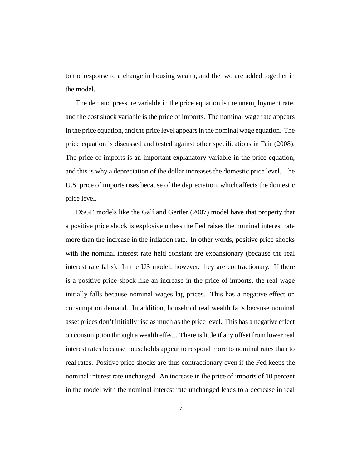to the response to a change in housing wealth, and the two are added together in the model.

The demand pressure variable in the price equation is the unemployment rate, and the cost shock variable is the price of imports. The nominal wage rate appears in the price equation, and the price level appears in the nominal wage equation. The price equation is discussed and tested against other specifications in Fair (2008). The price of imports is an important explanatory variable in the price equation, and this is why a depreciation of the dollar increases the domestic price level. The U.S. price of imports rises because of the depreciation, which affects the domestic price level.

DSGE models like the Galí and Gertler (2007) model have that property that a positive price shock is explosive unless the Fed raises the nominal interest rate more than the increase in the inflation rate. In other words, positive price shocks with the nominal interest rate held constant are expansionary (because the real interest rate falls). In the US model, however, they are contractionary. If there is a positive price shock like an increase in the price of imports, the real wage initially falls because nominal wages lag prices. This has a negative effect on consumption demand. In addition, household real wealth falls because nominal asset prices don't initially rise as much as the price level. This has a negative effect on consumption through a wealth effect. There is little if any offset from lower real interest rates because households appear to respond more to nominal rates than to real rates. Positive price shocks are thus contractionary even if the Fed keeps the nominal interest rate unchanged. An increase in the price of imports of 10 percent in the model with the nominal interest rate unchanged leads to a decrease in real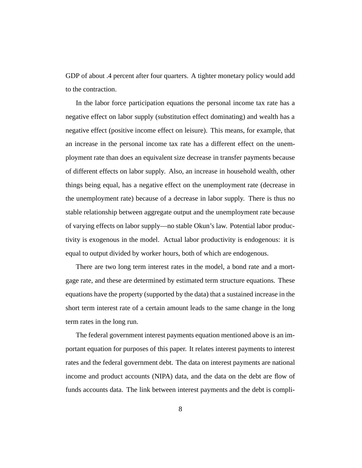GDP of about .4 percent after four quarters. A tighter monetary policy would add to the contraction.

In the labor force participation equations the personal income tax rate has a negative effect on labor supply (substitution effect dominating) and wealth has a negative effect (positive income effect on leisure). This means, for example, that an increase in the personal income tax rate has a different effect on the unemployment rate than does an equivalent size decrease in transfer payments because of different effects on labor supply. Also, an increase in household wealth, other things being equal, has a negative effect on the unemployment rate (decrease in the unemployment rate) because of a decrease in labor supply. There is thus no stable relationship between aggregate output and the unemployment rate because of varying effects on labor supply—no stable Okun's law. Potential labor productivity is exogenous in the model. Actual labor productivity is endogenous: it is equal to output divided by worker hours, both of which are endogenous.

There are two long term interest rates in the model, a bond rate and a mortgage rate, and these are determined by estimated term structure equations. These equations have the property (supported by the data) that a sustained increase in the short term interest rate of a certain amount leads to the same change in the long term rates in the long run.

The federal government interest payments equation mentioned above is an important equation for purposes of this paper. It relates interest payments to interest rates and the federal government debt. The data on interest payments are national income and product accounts (NIPA) data, and the data on the debt are flow of funds accounts data. The link between interest payments and the debt is compli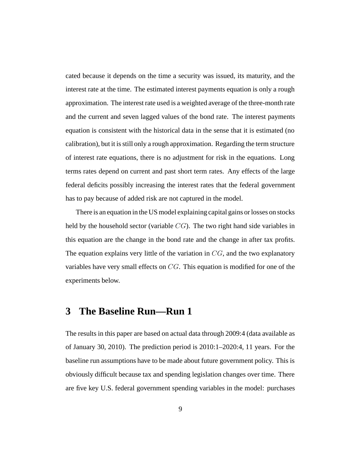cated because it depends on the time a security was issued, its maturity, and the interest rate at the time. The estimated interest payments equation is only a rough approximation. The interest rate used is a weighted average of the three-month rate and the current and seven lagged values of the bond rate. The interest payments equation is consistent with the historical data in the sense that it is estimated (no calibration), but it is still only a rough approximation. Regarding the term structure of interest rate equations, there is no adjustment for risk in the equations. Long terms rates depend on current and past short term rates. Any effects of the large federal deficits possibly increasing the interest rates that the federal government has to pay because of added risk are not captured in the model.

There is an equation in the US model explaining capital gains or losses on stocks held by the household sector (variable  $CG$ ). The two right hand side variables in this equation are the change in the bond rate and the change in after tax profits. The equation explains very little of the variation in  $CG$ , and the two explanatory variables have very small effects on CG. This equation is modified for one of the experiments below.

### **3 The Baseline Run—Run 1**

The results in this paper are based on actual data through 2009:4 (data available as of January 30, 2010). The prediction period is 2010:1–2020:4, 11 years. For the baseline run assumptions have to be made about future government policy. This is obviously difficult because tax and spending legislation changes over time. There are five key U.S. federal government spending variables in the model: purchases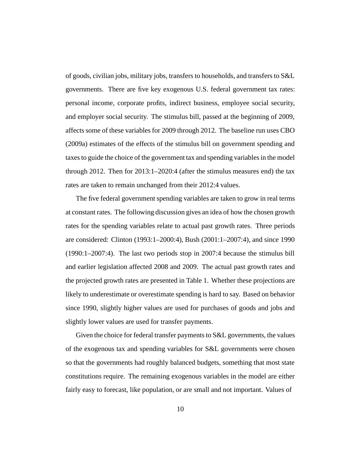of goods, civilian jobs, military jobs, transfers to households, and transfers to S&L governments. There are five key exogenous U.S. federal government tax rates: personal income, corporate profits, indirect business, employee social security, and employer social security. The stimulus bill, passed at the beginning of 2009, affects some of these variables for 2009 through 2012. The baseline run uses CBO (2009a) estimates of the effects of the stimulus bill on government spending and taxes to guide the choice of the government tax and spending variables in the model through 2012. Then for 2013:1–2020:4 (after the stimulus measures end) the tax rates are taken to remain unchanged from their 2012:4 values.

The five federal government spending variables are taken to grow in real terms at constant rates. The following discussion gives an idea of how the chosen growth rates for the spending variables relate to actual past growth rates. Three periods are considered: Clinton (1993:1–2000:4), Bush (2001:1–2007:4), and since 1990 (1990:1–2007:4). The last two periods stop in 2007:4 because the stimulus bill and earlier legislation affected 2008 and 2009. The actual past growth rates and the projected growth rates are presented in Table 1. Whether these projections are likely to underestimate or overestimate spending is hard to say. Based on behavior since 1990, slightly higher values are used for purchases of goods and jobs and slightly lower values are used for transfer payments.

Given the choice for federal transfer payments to S&L governments, the values of the exogenous tax and spending variables for S&L governments were chosen so that the governments had roughly balanced budgets, something that most state constitutions require. The remaining exogenous variables in the model are either fairly easy to forecast, like population, or are small and not important. Values of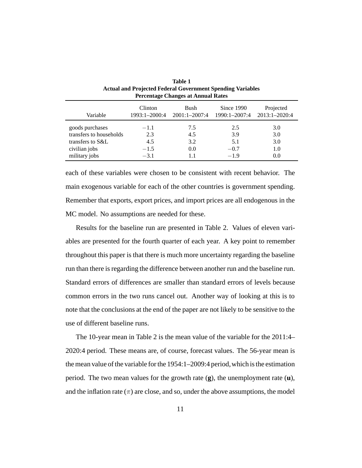| Tereminge enanges at Annual Rates |               |                   |               |               |  |  |  |  |  |  |
|-----------------------------------|---------------|-------------------|---------------|---------------|--|--|--|--|--|--|
| Variable                          | Clinton       | Bush              | Since 1990    | Projected     |  |  |  |  |  |  |
|                                   | 1993:1-2000:4 | $2001:1 - 2007:4$ | 1990:1-2007:4 | 2013:1-2020:4 |  |  |  |  |  |  |
| goods purchases                   | $-1.1$        | 7.5               | 2.5           | 3.0           |  |  |  |  |  |  |
| transfers to households           | 2.3           | 4.5               | 3.9           | 3.0           |  |  |  |  |  |  |
| transfers to S&L                  | 4.5           | 3.2               | 5.1           | 3.0           |  |  |  |  |  |  |
| civilian jobs                     | $-1.5$        | 0.0               | $-0.7$        | 1.0           |  |  |  |  |  |  |
| military jobs                     | $-3.1$        | 1.1               | $-1.9$        | 0.0           |  |  |  |  |  |  |

| <b>Table 1</b>                                             |
|------------------------------------------------------------|
| Actual and Projected Federal Government Spending Variables |
| Percentage Changes at Annual Rates                         |

each of these variables were chosen to be consistent with recent behavior. The main exogenous variable for each of the other countries is government spending. Remember that exports, export prices, and import prices are all endogenous in the MC model. No assumptions are needed for these.

Results for the baseline run are presented in Table 2. Values of eleven variables are presented for the fourth quarter of each year. A key point to remember throughout this paper is that there is much more uncertainty regarding the baseline run than there is regarding the difference between another run and the baseline run. Standard errors of differences are smaller than standard errors of levels because common errors in the two runs cancel out. Another way of looking at this is to note that the conclusions at the end of the paper are not likely to be sensitive to the use of different baseline runs.

The 10-year mean in Table 2 is the mean value of the variable for the 2011:4– 2020:4 period. These means are, of course, forecast values. The 56-year mean is the mean value of the variable for the 1954:1–2009:4 period,which is the estimation period. The two mean values for the growth rate (**g**), the unemployment rate (**u**), and the inflation rate  $(\pi)$  are close, and so, under the above assumptions, the model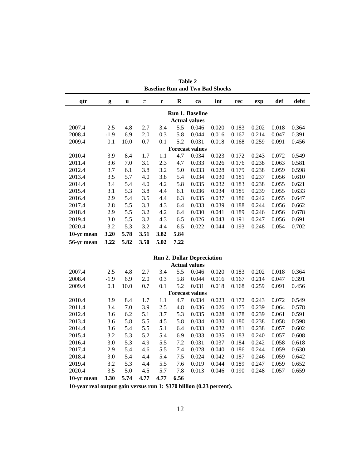| qtr                    | g      | u    | $\pi$ | r    | $\mathbf R$ | ca                                | int   | rec   | exp   | def   | debt  |  |  |
|------------------------|--------|------|-------|------|-------------|-----------------------------------|-------|-------|-------|-------|-------|--|--|
|                        |        |      |       |      |             | <b>Run 1. Baseline</b>            |       |       |       |       |       |  |  |
|                        |        |      |       |      |             | <b>Actual values</b>              |       |       |       |       |       |  |  |
| 2007.4                 | 2.5    | 4.8  | 2.7   | 3.4  | 5.5         | 0.046                             | 0.020 | 0.183 | 0.202 | 0.018 | 0.364 |  |  |
| 2008.4                 | $-1.9$ | 6.9  | 2.0   | 0.3  | 5.8         | 0.044                             | 0.016 | 0.167 | 0.214 | 0.047 | 0.391 |  |  |
| 2009.4                 | 0.1    | 10.0 | 0.7   | 0.1  | 5.2         | 0.031                             | 0.018 | 0.168 | 0.259 | 0.091 | 0.456 |  |  |
| <b>Forecast values</b> |        |      |       |      |             |                                   |       |       |       |       |       |  |  |
| 2010.4                 | 3.9    | 8.4  | 1.7   | 1.1  | 4.7         | 0.034                             | 0.023 | 0.172 | 0.243 | 0.072 | 0.549 |  |  |
| 2011.4                 | 3.6    | 7.0  | 3.1   | 2.3  | 4.7         | 0.033                             | 0.026 | 0.176 | 0.238 | 0.063 | 0.581 |  |  |
| 2012.4                 | 3.7    | 6.1  | 3.8   | 3.2  | 5.0         | 0.033                             | 0.028 | 0.179 | 0.238 | 0.059 | 0.598 |  |  |
| 2013.4                 | 3.5    | 5.7  | 4.0   | 3.8  | 5.4         | 0.034                             | 0.030 | 0.181 | 0.237 | 0.056 | 0.610 |  |  |
| 2014.4                 | 3.4    | 5.4  | 4.0   | 4.2  | 5.8         | 0.035                             | 0.032 | 0.183 | 0.238 | 0.055 | 0.621 |  |  |
| 2015.4                 | 3.1    | 5.3  | 3.8   | 4.4  | 6.1         | 0.036                             | 0.034 | 0.185 | 0.239 | 0.055 | 0.633 |  |  |
| 2016.4                 | 2.9    | 5.4  | 3.5   | 4.4  | 6.3         | 0.035                             | 0.037 | 0.186 | 0.242 | 0.055 | 0.647 |  |  |
| 2017.4                 | 2.8    | 5.5  | 3.3   | 4.3  | 6.4         | 0.033                             | 0.039 | 0.188 | 0.244 | 0.056 | 0.662 |  |  |
| 2018.4                 | 2.9    | 5.5  | 3.2   | 4.2  | 6.4         | 0.030                             | 0.041 | 0.189 | 0.246 | 0.056 | 0.678 |  |  |
| 2019.4                 | 3.0    | 5.5  | 3.2   | 4.3  | 6.5         | 0.026                             | 0.043 | 0.191 | 0.247 | 0.056 | 0.691 |  |  |
| 2020.4                 | 3.2    | 5.3  | 3.2   | 4.4  | 6.5         | 0.022                             | 0.044 | 0.193 | 0.248 | 0.054 | 0.702 |  |  |
| 10-yr mean             | 3.20   | 5.78 | 3.51  | 3.82 | 5.84        |                                   |       |       |       |       |       |  |  |
| 56-yr mean             | 3.22   | 5.82 | 3.50  | 5.02 | 7.22        |                                   |       |       |       |       |       |  |  |
|                        |        |      |       |      |             |                                   |       |       |       |       |       |  |  |
|                        |        |      |       |      |             | <b>Run 2. Dollar Depreciation</b> |       |       |       |       |       |  |  |
|                        |        |      |       |      |             | <b>Actual values</b>              |       |       |       |       |       |  |  |
| 2007.4                 | 2.5    | 4.8  | 2.7   | 3.4  | 5.5         | 0.046                             | 0.020 | 0.183 | 0.202 | 0.018 | 0.364 |  |  |
| 2008.4                 | $-1.9$ | 6.9  | 2.0   | 0.3  | 5.8         | 0.044                             | 0.016 | 0.167 | 0.214 | 0.047 | 0.391 |  |  |

**Table 2 Baseline Run and Two Bad Shocks**

| 10-yr mean | 3.30   | 5.74 | 4.77 | 4.77 | 6.56 |                        |       |       |       |       |       |
|------------|--------|------|------|------|------|------------------------|-------|-------|-------|-------|-------|
| 2020.4     | 3.5    | 5.0  | 4.5  | 5.7  | 7.8  | 0.013                  | 0.046 | 0.190 | 0.248 | 0.057 | 0.659 |
| 2019.4     | 3.2    | 5.3  | 4.4  | 5.5  | 7.6  | 0.019                  | 0.044 | 0.189 | 0.247 | 0.059 | 0.652 |
| 2018.4     | 3.0    | 5.4  | 4.4  | 5.4  | 7.5  | 0.024                  | 0.042 | 0.187 | 0.246 | 0.059 | 0.642 |
| 2017.4     | 2.9    | 5.4  | 4.6  | 5.5  | 7.4  | 0.028                  | 0.040 | 0.186 | 0.244 | 0.059 | 0.630 |
| 2016.4     | 3.0    | 5.3  | 4.9  | 5.5  | 7.2  | 0.031                  | 0.037 | 0.184 | 0.242 | 0.058 | 0.618 |
| 2015.4     | 3.2    | 5.3  | 5.2  | 5.4  | 6.9  | 0.033                  | 0.035 | 0.183 | 0.240 | 0.057 | 0.608 |
| 2014.4     | 3.6    | 5.4  | 5.5  | 5.1  | 6.4  | 0.033                  | 0.032 | 0.181 | 0.238 | 0.057 | 0.602 |
| 2013.4     | 3.6    | 5.8  | 5.5  | 4.5  | 5.8  | 0.034                  | 0.030 | 0.180 | 0.238 | 0.058 | 0.598 |
| 2012.4     | 3.6    | 6.2  | 5.1  | 3.7  | 5.3  | 0.035                  | 0.028 | 0.178 | 0.239 | 0.061 | 0.591 |
| 2011.4     | 3.4    | 7.0  | 3.9  | 2.5  | 4.8  | 0.036                  | 0.026 | 0.175 | 0.239 | 0.064 | 0.578 |
| 2010.4     | 3.9    | 8.4  | 1.7  | 1.1  | 4.7  | 0.034                  | 0.023 | 0.172 | 0.243 | 0.072 | 0.549 |
|            |        |      |      |      |      | <b>Forecast values</b> |       |       |       |       |       |
| 2009.4     | 0.1    | 10.0 | 0.7  | 0.1  | 5.2  | 0.031                  | 0.018 | 0.168 | 0.259 | 0.091 | 0.456 |
| 2008.4     | $-1.9$ | 6.9  | 2.0  | 0.3  | 5.8  | 0.044                  | 0.016 | 0.167 | 0.214 | 0.047 | 0.391 |
| 2007.4     | 2.5    | 4.8  | 2.7  | 3.4  | 5.5  | 0.046                  | 0.020 | 0.183 | 0.202 | 0.018 | 0.364 |
|            |        |      |      |      |      |                        |       |       |       |       |       |

**10-year real output gain versus run 1: \$370 billion (0.23 percent).**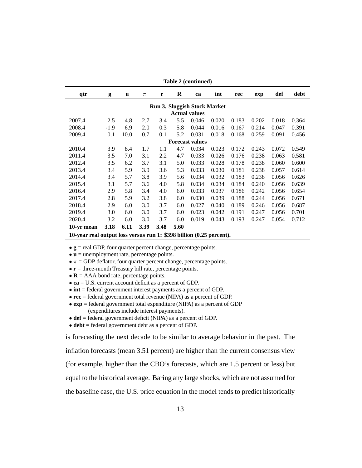| Table 2 (continued)                                                  |        |      |       |      |         |                      |       |       |       |       |       |  |  |
|----------------------------------------------------------------------|--------|------|-------|------|---------|----------------------|-------|-------|-------|-------|-------|--|--|
| qtr                                                                  | g      | u    | $\pi$ | r    | $\bf R$ | ca                   | int   | rec   | exp   | def   | debt  |  |  |
| <b>Run 3. Sluggish Stock Market</b>                                  |        |      |       |      |         |                      |       |       |       |       |       |  |  |
|                                                                      |        |      |       |      |         | <b>Actual values</b> |       |       |       |       |       |  |  |
| 2007.4                                                               | 2.5    | 4.8  | 2.7   | 3.4  | 5.5     | 0.046                | 0.020 | 0.183 | 0.202 | 0.018 | 0.364 |  |  |
| 2008.4                                                               | $-1.9$ | 6.9  | 2.0   | 0.3  | 5.8     | 0.044                | 0.016 | 0.167 | 0.214 | 0.047 | 0.391 |  |  |
| 2009.4                                                               | 0.1    | 10.0 | 0.7   | 0.1  | 5.2     | 0.031                | 0.018 | 0.168 | 0.259 | 0.091 | 0.456 |  |  |
| <b>Forecast values</b>                                               |        |      |       |      |         |                      |       |       |       |       |       |  |  |
| 2010.4                                                               | 3.9    | 8.4  | 1.7   | 1.1  | 4.7     | 0.034                | 0.023 | 0.172 | 0.243 | 0.072 | 0.549 |  |  |
| 2011.4                                                               | 3.5    | 7.0  | 3.1   | 2.2  | 4.7     | 0.033                | 0.026 | 0.176 | 0.238 | 0.063 | 0.581 |  |  |
| 2012.4                                                               | 3.5    | 6.2  | 3.7   | 3.1  | 5.0     | 0.033                | 0.028 | 0.178 | 0.238 | 0.060 | 0.600 |  |  |
| 2013.4                                                               | 3.4    | 5.9  | 3.9   | 3.6  | 5.3     | 0.033                | 0.030 | 0.181 | 0.238 | 0.057 | 0.614 |  |  |
| 2014.4                                                               | 3.4    | 5.7  | 3.8   | 3.9  | 5.6     | 0.034                | 0.032 | 0.183 | 0.238 | 0.056 | 0.626 |  |  |
| 2015.4                                                               | 3.1    | 5.7  | 3.6   | 4.0  | 5.8     | 0.034                | 0.034 | 0.184 | 0.240 | 0.056 | 0.639 |  |  |
| 2016.4                                                               | 2.9    | 5.8  | 3.4   | 4.0  | 6.0     | 0.033                | 0.037 | 0.186 | 0.242 | 0.056 | 0.654 |  |  |
| 2017.4                                                               | 2.8    | 5.9  | 3.2   | 3.8  | 6.0     | 0.030                | 0.039 | 0.188 | 0.244 | 0.056 | 0.671 |  |  |
| 2018.4                                                               | 2.9    | 6.0  | 3.0   | 3.7  | 6.0     | 0.027                | 0.040 | 0.189 | 0.246 | 0.056 | 0.687 |  |  |
| 2019.4                                                               | 3.0    | 6.0  | 3.0   | 3.7  | 6.0     | 0.023                | 0.042 | 0.191 | 0.247 | 0.056 | 0.701 |  |  |
| 2020.4                                                               | 3.2    | 6.0  | 3.0   | 3.7  | 6.0     | 0.019                | 0.043 | 0.193 | 0.247 | 0.054 | 0.712 |  |  |
| 10-yr mean                                                           | 3.18   | 6.11 | 3.39  | 3.48 | 5.60    |                      |       |       |       |       |       |  |  |
| 10-year real output loss versus run 1: \$398 billion (0.25 percent). |        |      |       |      |         |                      |       |       |       |       |       |  |  |

• **g** = real GDP, four quarter percent change, percentage points.

• **u** = unemployment rate, percentage points.

 $\bullet \pi = GDP$  deflator, four quarter percent change, percentage points.

• **r** = three-month Treasury bill rate, percentage points.

• **R** = AAA bond rate, percentage points.

- **ca** = U.S. current account deficit as a percent of GDP.
- **int** = federal government interest payments as a percent of GDP.
- **rec** = federal government total revenue (NIPA) as a percent of GDP.
- **exp** = federal government total expenditure (NIPA) as a percent of GDP (expenditures include interest payments).

• **def** = federal government deficit (NIPA) as a percent of GDP.

• **debt** = federal government debt as a percent of GDP.

is forecasting the next decade to be similar to average behavior in the past. The inflation forecasts (mean 3.51 percent) are higher than the current consensus view (for example, higher than the CBO's forecasts, which are 1.5 percent or less) but equal to the historical average. Baring any large shocks, which are not assumed for the baseline case, the U.S. price equation in the model tends to predict historically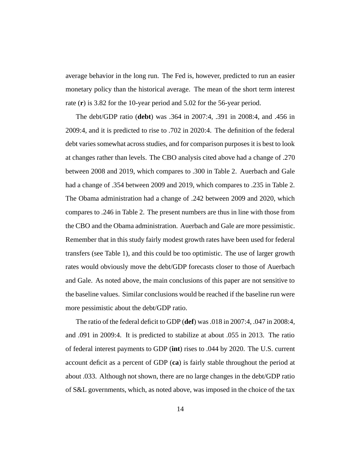average behavior in the long run. The Fed is, however, predicted to run an easier monetary policy than the historical average. The mean of the short term interest rate (**r**) is 3.82 for the 10-year period and 5.02 for the 56-year period.

The debt/GDP ratio (**debt**) was .364 in 2007:4, .391 in 2008:4, and .456 in 2009:4, and it is predicted to rise to .702 in 2020:4. The definition of the federal debt varies somewhat across studies, and for comparison purposes it is best to look at changes rather than levels. The CBO analysis cited above had a change of .270 between 2008 and 2019, which compares to .300 in Table 2. Auerbach and Gale had a change of .354 between 2009 and 2019, which compares to .235 in Table 2. The Obama administration had a change of .242 between 2009 and 2020, which compares to .246 in Table 2. The present numbers are thus in line with those from the CBO and the Obama administration. Auerbach and Gale are more pessimistic. Remember that in this study fairly modest growth rates have been used for federal transfers (see Table 1), and this could be too optimistic. The use of larger growth rates would obviously move the debt/GDP forecasts closer to those of Auerbach and Gale. As noted above, the main conclusions of this paper are not sensitive to the baseline values. Similar conclusions would be reached if the baseline run were more pessimistic about the debt/GDP ratio.

The ratio of the federal deficit to GDP (**def**) was .018 in 2007:4, .047 in 2008:4, and .091 in 2009:4. It is predicted to stabilize at about .055 in 2013. The ratio of federal interest payments to GDP (**int**) rises to .044 by 2020. The U.S. current account deficit as a percent of GDP (**ca**) is fairly stable throughout the period at about .033. Although not shown, there are no large changes in the debt/GDP ratio of S&L governments, which, as noted above, was imposed in the choice of the tax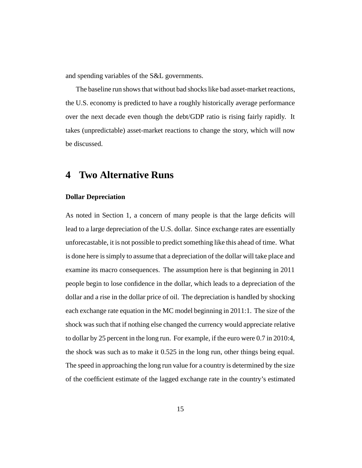and spending variables of the S&L governments.

The baseline run shows that without bad shocks like bad asset-market reactions, the U.S. economy is predicted to have a roughly historically average performance over the next decade even though the debt/GDP ratio is rising fairly rapidly. It takes (unpredictable) asset-market reactions to change the story, which will now be discussed.

# **4 Two Alternative Runs**

#### **Dollar Depreciation**

As noted in Section 1, a concern of many people is that the large deficits will lead to a large depreciation of the U.S. dollar. Since exchange rates are essentially unforecastable, it is not possible to predict something like this ahead of time. What is done here is simply to assume that a depreciation of the dollar will take place and examine its macro consequences. The assumption here is that beginning in 2011 people begin to lose confidence in the dollar, which leads to a depreciation of the dollar and a rise in the dollar price of oil. The depreciation is handled by shocking each exchange rate equation in the MC model beginning in 2011:1. The size of the shock was such that if nothing else changed the currency would appreciate relative to dollar by 25 percent in the long run. For example, if the euro were 0.7 in 2010:4, the shock was such as to make it 0.525 in the long run, other things being equal. The speed in approaching the long run value for a country is determined by the size of the coefficient estimate of the lagged exchange rate in the country's estimated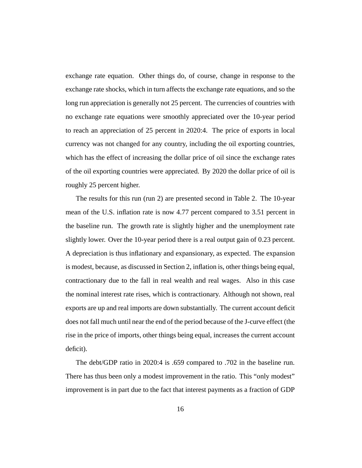exchange rate equation. Other things do, of course, change in response to the exchange rate shocks, which in turn affects the exchange rate equations, and so the long run appreciation is generally not 25 percent. The currencies of countries with no exchange rate equations were smoothly appreciated over the 10-year period to reach an appreciation of 25 percent in 2020:4. The price of exports in local currency was not changed for any country, including the oil exporting countries, which has the effect of increasing the dollar price of oil since the exchange rates of the oil exporting countries were appreciated. By 2020 the dollar price of oil is roughly 25 percent higher.

The results for this run (run 2) are presented second in Table 2. The 10-year mean of the U.S. inflation rate is now 4.77 percent compared to 3.51 percent in the baseline run. The growth rate is slightly higher and the unemployment rate slightly lower. Over the 10-year period there is a real output gain of 0.23 percent. A depreciation is thus inflationary and expansionary, as expected. The expansion is modest, because, as discussed in Section 2, inflation is, other things being equal, contractionary due to the fall in real wealth and real wages. Also in this case the nominal interest rate rises, which is contractionary. Although not shown, real exports are up and real imports are down substantially. The current account deficit does not fall much until near the end of the period because of the J-curve effect (the rise in the price of imports, other things being equal, increases the current account deficit).

The debt/GDP ratio in 2020:4 is .659 compared to .702 in the baseline run. There has thus been only a modest improvement in the ratio. This "only modest" improvement is in part due to the fact that interest payments as a fraction of GDP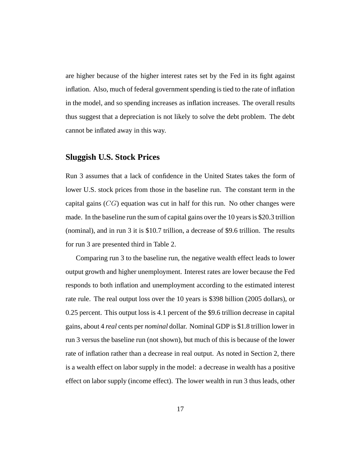are higher because of the higher interest rates set by the Fed in its fight against inflation. Also, much of federal government spending is tied to the rate of inflation in the model, and so spending increases as inflation increases. The overall results thus suggest that a depreciation is not likely to solve the debt problem. The debt cannot be inflated away in this way.

#### **Sluggish U.S. Stock Prices**

Run 3 assumes that a lack of confidence in the United States takes the form of lower U.S. stock prices from those in the baseline run. The constant term in the capital gains  $(CG)$  equation was cut in half for this run. No other changes were made. In the baseline run the sum of capital gains over the 10 years is \$20.3 trillion (nominal), and in run 3 it is \$10.7 trillion, a decrease of \$9.6 trillion. The results for run 3 are presented third in Table 2.

Comparing run 3 to the baseline run, the negative wealth effect leads to lower output growth and higher unemployment. Interest rates are lower because the Fed responds to both inflation and unemployment according to the estimated interest rate rule. The real output loss over the 10 years is \$398 billion (2005 dollars), or 0.25 percent. This output loss is 4.1 percent of the \$9.6 trillion decrease in capital gains, about 4 *real* cents per *nominal* dollar. Nominal GDP is \$1.8 trillion lower in run 3 versus the baseline run (not shown), but much of this is because of the lower rate of inflation rather than a decrease in real output. As noted in Section 2, there is a wealth effect on labor supply in the model: a decrease in wealth has a positive effect on labor supply (income effect). The lower wealth in run 3 thus leads, other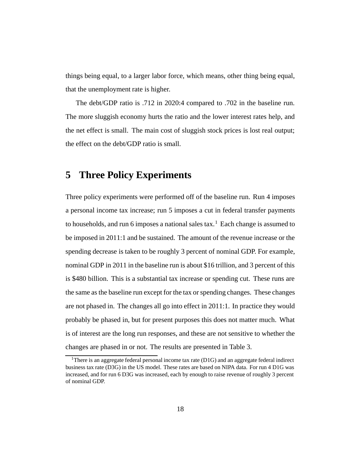things being equal, to a larger labor force, which means, other thing being equal, that the unemployment rate is higher.

The debt/GDP ratio is .712 in 2020:4 compared to .702 in the baseline run. The more sluggish economy hurts the ratio and the lower interest rates help, and the net effect is small. The main cost of sluggish stock prices is lost real output; the effect on the debt/GDP ratio is small.

### **5 Three Policy Experiments**

Three policy experiments were performed off of the baseline run. Run 4 imposes a personal income tax increase; run 5 imposes a cut in federal transfer payments to households, and run 6 imposes a national sales  $tax<sup>1</sup>$ . Each change is assumed to be imposed in 2011:1 and be sustained. The amount of the revenue increase or the spending decrease is taken to be roughly 3 percent of nominal GDP. For example, nominal GDP in 2011 in the baseline run is about \$16 trillion, and 3 percent of this is \$480 billion. This is a substantial tax increase or spending cut. These runs are the same as the baseline run except for the tax or spending changes. These changes are not phased in. The changes all go into effect in 2011:1. In practice they would probably be phased in, but for present purposes this does not matter much. What is of interest are the long run responses, and these are not sensitive to whether the changes are phased in or not. The results are presented in Table 3.

<sup>&</sup>lt;sup>1</sup>There is an aggregate federal personal income tax rate  $(D1G)$  and an aggregate federal indirect business tax rate (D3G) in the US model. These rates are based on NIPA data. For run 4 D1G was increased, and for run 6 D3G was increased, each by enough to raise revenue of roughly 3 percent of nominal GDP.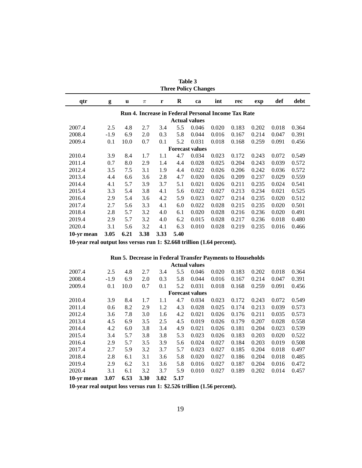| <b>Three Policy Changes</b> |        |      |       |      |      |                        |                                                            |       |       |       |       |
|-----------------------------|--------|------|-------|------|------|------------------------|------------------------------------------------------------|-------|-------|-------|-------|
| qtr                         | g      | u    | $\pi$ | r    | R    | ca                     | int                                                        | rec   | exp   | def   | debt  |
|                             |        |      |       |      |      |                        | <b>Run 4. Increase in Federal Personal Income Tax Rate</b> |       |       |       |       |
|                             |        |      |       |      |      | <b>Actual values</b>   |                                                            |       |       |       |       |
| 2007.4                      | 2.5    | 4.8  | 2.7   | 3.4  | 5.5  | 0.046                  | 0.020                                                      | 0.183 | 0.202 | 0.018 | 0.364 |
| 2008.4                      | $-1.9$ | 6.9  | 2.0   | 0.3  | 5.8  | 0.044                  | 0.016                                                      | 0.167 | 0.214 | 0.047 | 0.391 |
| 2009.4                      | 0.1    | 10.0 | 0.7   | 0.1  | 5.2  | 0.031                  | 0.018                                                      | 0.168 | 0.259 | 0.091 | 0.456 |
|                             |        |      |       |      |      | <b>Forecast values</b> |                                                            |       |       |       |       |
| 2010.4                      | 3.9    | 8.4  | 1.7   | 1.1  | 4.7  | 0.034                  | 0.023                                                      | 0.172 | 0.243 | 0.072 | 0.549 |
| 2011.4                      | 0.7    | 8.0  | 2.9   | 1.4  | 4.4  | 0.028                  | 0.025                                                      | 0.204 | 0.243 | 0.039 | 0.572 |
| 2012.4                      | 3.5    | 7.5  | 3.1   | 1.9  | 4.4  | 0.022                  | 0.026                                                      | 0.206 | 0.242 | 0.036 | 0.572 |
| 2013.4                      | 4.4    | 6.6  | 3.6   | 2.8  | 4.7  | 0.020                  | 0.026                                                      | 0.209 | 0.237 | 0.029 | 0.559 |
| 2014.4                      | 4.1    | 5.7  | 3.9   | 3.7  | 5.1  | 0.021                  | 0.026                                                      | 0.211 | 0.235 | 0.024 | 0.541 |
| 2015.4                      | 3.3    | 5.4  | 3.8   | 4.1  | 5.6  | 0.022                  | 0.027                                                      | 0.213 | 0.234 | 0.021 | 0.525 |
| 2016.4                      | 2.9    | 5.4  | 3.6   | 4.2  | 5.9  | 0.023                  | 0.027                                                      | 0.214 | 0.235 | 0.020 | 0.512 |
| 2017.4                      | 2.7    | 5.6  | 3.3   | 4.1  | 6.0  | 0.022                  | 0.028                                                      | 0.215 | 0.235 | 0.020 | 0.501 |
| 2018.4                      | 2.8    | 5.7  | 3.2   | 4.0  | 6.1  | 0.020                  | 0.028                                                      | 0.216 | 0.236 | 0.020 | 0.491 |
| 2019.4                      | 2.9    | 5.7  | 3.2   | 4.0  | 6.2  | 0.015                  | 0.028                                                      | 0.217 | 0.236 | 0.018 | 0.480 |
| 2020.4                      | 3.1    | 5.6  | 3.2   | 4.1  | 6.3  | 0.010                  | 0.028                                                      | 0.219 | 0.235 | 0.016 | 0.466 |
| 10-yr mean                  | 3.05   | 6.21 | 3.38  | 3.33 | 5.40 |                        |                                                            |       |       |       |       |

**Table 3**

**10-year real output loss versus run 1: \$2.668 trillion (1.64 percent).**

| <b>Run 5. Decrease in Federal Transfer Payments to Households</b> |  |  |  |  |  |  |  |  |  |
|-------------------------------------------------------------------|--|--|--|--|--|--|--|--|--|
| $\lambda$ . $\lambda$ 1 1                                         |  |  |  |  |  |  |  |  |  |

| <b>Actual values</b>   |        |      |      |      |      |       |       |       |       |       |       |  |
|------------------------|--------|------|------|------|------|-------|-------|-------|-------|-------|-------|--|
| 2007.4                 | 2.5    | 4.8  | 2.7  | 3.4  | 5.5  | 0.046 | 0.020 | 0.183 | 0.202 | 0.018 | 0.364 |  |
| 2008.4                 | $-1.9$ | 6.9  | 2.0  | 0.3  | 5.8  | 0.044 | 0.016 | 0.167 | 0.214 | 0.047 | 0.391 |  |
| 2009.4                 | 0.1    | 10.0 | 0.7  | 0.1  | 5.2  | 0.031 | 0.018 | 0.168 | 0.259 | 0.091 | 0.456 |  |
| <b>Forecast values</b> |        |      |      |      |      |       |       |       |       |       |       |  |
| 2010.4                 | 3.9    | 8.4  | 1.7  | 1.1  | 4.7  | 0.034 | 0.023 | 0.172 | 0.243 | 0.072 | 0.549 |  |
| 2011.4                 | 0.6    | 8.2  | 2.9  | 1.2  | 4.3  | 0.028 | 0.025 | 0.174 | 0.213 | 0.039 | 0.573 |  |
| 2012.4                 | 3.6    | 7.8  | 3.0  | 1.6  | 4.2  | 0.021 | 0.026 | 0.176 | 0.211 | 0.035 | 0.573 |  |
| 2013.4                 | 4.5    | 6.9  | 3.5  | 2.5  | 4.5  | 0.019 | 0.026 | 0.179 | 0.207 | 0.028 | 0.558 |  |
| 2014.4                 | 4.2    | 6.0  | 3.8  | 3.4  | 4.9  | 0.021 | 0.026 | 0.181 | 0.204 | 0.023 | 0.539 |  |
| 2015.4                 | 3.4    | 5.7  | 3.8  | 3.8  | 5.3  | 0.023 | 0.026 | 0.183 | 0.203 | 0.020 | 0.522 |  |
| 2016.4                 | 2.9    | 5.7  | 3.5  | 3.9  | 5.6  | 0.024 | 0.027 | 0.184 | 0.203 | 0.019 | 0.508 |  |
| 2017.4                 | 2.7    | 5.9  | 3.2  | 3.7  | 5.7  | 0.023 | 0.027 | 0.185 | 0.204 | 0.018 | 0.497 |  |
| 2018.4                 | 2.8    | 6.1  | 3.1  | 3.6  | 5.8  | 0.020 | 0.027 | 0.186 | 0.204 | 0.018 | 0.485 |  |
| 2019.4                 | 2.9    | 6.2  | 3.1  | 3.6  | 5.8  | 0.016 | 0.027 | 0.187 | 0.204 | 0.016 | 0.472 |  |
| 2020.4                 | 3.1    | 6.1  | 3.2  | 3.7  | 5.9  | 0.010 | 0.027 | 0.189 | 0.202 | 0.014 | 0.457 |  |
| 10-yr mean             | 3.07   | 6.53 | 3.30 | 3.02 | 5.17 |       |       |       |       |       |       |  |

**10-year real output loss versus run 1: \$2.526 trillion (1.56 percent).**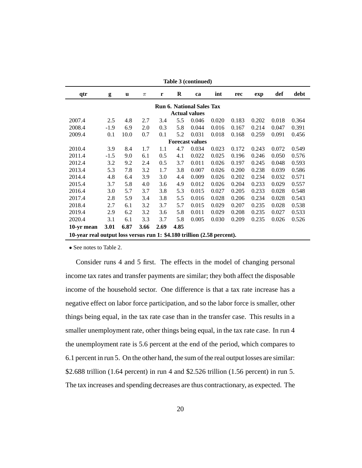| Table 3 (continued)                                                     |        |              |       |      |      |                      |       |       |       |       |       |  |  |
|-------------------------------------------------------------------------|--------|--------------|-------|------|------|----------------------|-------|-------|-------|-------|-------|--|--|
| qtr                                                                     | g      | $\mathbf{u}$ | $\pi$ | r    | R    | ca                   | int   | rec   | exp   | def   | debt  |  |  |
| <b>Run 6. National Sales Tax</b>                                        |        |              |       |      |      |                      |       |       |       |       |       |  |  |
|                                                                         |        |              |       |      |      | <b>Actual values</b> |       |       |       |       |       |  |  |
| 2007.4                                                                  | 2.5    | 4.8          | 2.7   | 3.4  | 5.5  | 0.046                | 0.020 | 0.183 | 0.202 | 0.018 | 0.364 |  |  |
| 2008.4                                                                  | $-1.9$ | 6.9          | 2.0   | 0.3  | 5.8  | 0.044                | 0.016 | 0.167 | 0.214 | 0.047 | 0.391 |  |  |
| 2009.4                                                                  | 0.1    | 10.0         | 0.7   | 0.1  | 5.2  | 0.031                | 0.018 | 0.168 | 0.259 | 0.091 | 0.456 |  |  |
| <b>Forecast values</b>                                                  |        |              |       |      |      |                      |       |       |       |       |       |  |  |
| 2010.4                                                                  | 3.9    | 8.4          | 1.7   | 1.1  | 4.7  | 0.034                | 0.023 | 0.172 | 0.243 | 0.072 | 0.549 |  |  |
| 2011.4                                                                  | $-1.5$ | 9.0          | 6.1   | 0.5  | 4.1  | 0.022                | 0.025 | 0.196 | 0.246 | 0.050 | 0.576 |  |  |
| 2012.4                                                                  | 3.2    | 9.2          | 2.4   | 0.5  | 3.7  | 0.011                | 0.026 | 0.197 | 0.245 | 0.048 | 0.593 |  |  |
| 2013.4                                                                  | 5.3    | 7.8          | 3.2   | 1.7  | 3.8  | 0.007                | 0.026 | 0.200 | 0.238 | 0.039 | 0.586 |  |  |
| 2014.4                                                                  | 4.8    | 6.4          | 3.9   | 3.0  | 4.4  | 0.009                | 0.026 | 0.202 | 0.234 | 0.032 | 0.571 |  |  |
| 2015.4                                                                  | 3.7    | 5.8          | 4.0   | 3.6  | 4.9  | 0.012                | 0.026 | 0.204 | 0.233 | 0.029 | 0.557 |  |  |
| 2016.4                                                                  | 3.0    | 5.7          | 3.7   | 3.8  | 5.3  | 0.015                | 0.027 | 0.205 | 0.233 | 0.028 | 0.548 |  |  |
| 2017.4                                                                  | 2.8    | 5.9          | 3.4   | 3.8  | 5.5  | 0.016                | 0.028 | 0.206 | 0.234 | 0.028 | 0.543 |  |  |
| 2018.4                                                                  | 2.7    | 6.1          | 3.2   | 3.7  | 5.7  | 0.015                | 0.029 | 0.207 | 0.235 | 0.028 | 0.538 |  |  |
| 2019.4                                                                  | 2.9    | 6.2          | 3.2   | 3.6  | 5.8  | 0.011                | 0.029 | 0.208 | 0.235 | 0.027 | 0.533 |  |  |
| 2020.4                                                                  | 3.1    | 6.1          | 3.3   | 3.7  | 5.8  | 0.005                | 0.030 | 0.209 | 0.235 | 0.026 | 0.526 |  |  |
| 10-yr mean                                                              | 3.01   | 6.87         | 3.66  | 2.69 | 4.85 |                      |       |       |       |       |       |  |  |
| 10-year real output loss versus run 1: \$4.180 trillion (2.58 percent). |        |              |       |      |      |                      |       |       |       |       |       |  |  |

• See notes to Table 2.

Consider runs 4 and 5 first. The effects in the model of changing personal income tax rates and transfer payments are similar; they both affect the disposable income of the household sector. One difference is that a tax rate increase has a negative effect on labor force participation, and so the labor force is smaller, other things being equal, in the tax rate case than in the transfer case. This results in a smaller unemployment rate, other things being equal, in the tax rate case. In run 4 the unemployment rate is 5.6 percent at the end of the period, which compares to 6.1 percent in run 5. On the other hand, the sum of the real output losses are similar: \$2.688 trillion (1.64 percent) in run 4 and \$2.526 trillion (1.56 percent) in run 5. The tax increases and spending decreases are thus contractionary, as expected. The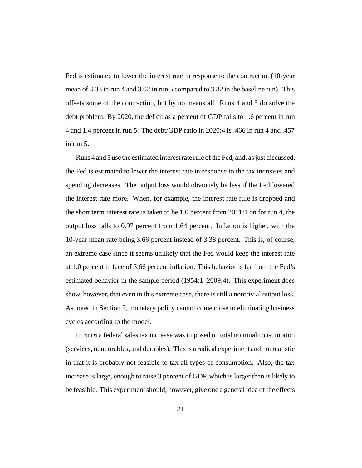Fed is estimated to lower the interest rate in response to the contraction (10-year mean of 3.33 in run 4 and 3.02 in run 5 compared to 3.82 in the baseline run). This offsets some of the contraction, but by no means all. Runs 4 and 5 do solve the debt problem. By 2020, the deficit as a percent of GDP falls to 1.6 percent in run 4 and 1.4 percent in run 5. The debt/GDP ratio in 2020:4 is .466 in run 4 and .457 in run 5.

Runs 4 and 5 use the estimated interest rate rule of the Fed, and, as just discussed, the Fed is estimated to lower the interest rate in response to the tax increases and spending decreases. The output loss would obviously be less if the Fed lowered the interest rate more. When, for example, the interest rate rule is dropped and the short term interest rate is taken to be 1.0 percent from 2011:1 on for run 4, the output loss falls to 0.97 percent from 1.64 percent. Inflation is higher, with the 10-year mean rate being 3.66 percent instead of 3.38 percent. This is, of course, an extreme case since it seems unlikely that the Fed would keep the interest rate at 1.0 percent in face of 3.66 percent inflation. This behavior is far from the Fed's estimated behavior in the sample period (1954:1–2009:4). This experiment does show, however, that even in this extreme case, there is still a nontrivial output loss. As noted in Section 2, monetary policy cannot come close to eliminating business cycles according to the model.

In run 6 a federal sales tax increase was imposed on total nominal consumption (services, nondurables, and durables). This is a radical experiment and not realistic in that it is probably not feasible to tax all types of consumption. Also, the tax increase is large, enough to raise 3 percent of GDP, which is larger than is likely to be feasible. This experiment should, however, give one a general idea of the effects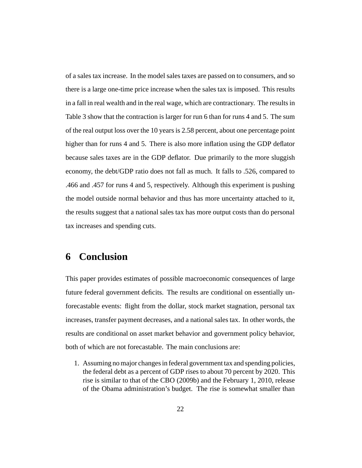of a sales tax increase. In the model sales taxes are passed on to consumers, and so there is a large one-time price increase when the sales tax is imposed. This results in a fall in real wealth and in the real wage, which are contractionary. The results in Table 3 show that the contraction is larger for run 6 than for runs 4 and 5. The sum of the real output loss over the 10 years is 2.58 percent, about one percentage point higher than for runs 4 and 5. There is also more inflation using the GDP deflator because sales taxes are in the GDP deflator. Due primarily to the more sluggish economy, the debt/GDP ratio does not fall as much. It falls to .526, compared to .466 and .457 for runs 4 and 5, respectively. Although this experiment is pushing the model outside normal behavior and thus has more uncertainty attached to it, the results suggest that a national sales tax has more output costs than do personal tax increases and spending cuts.

# **6 Conclusion**

This paper provides estimates of possible macroeconomic consequences of large future federal government deficits. The results are conditional on essentially unforecastable events: flight from the dollar, stock market stagnation, personal tax increases, transfer payment decreases, and a national sales tax. In other words, the results are conditional on asset market behavior and government policy behavior, both of which are not forecastable. The main conclusions are:

1. Assuming no major changes in federal government tax and spending policies, the federal debt as a percent of GDP rises to about 70 percent by 2020. This rise is similar to that of the CBO (2009b) and the February 1, 2010, release of the Obama administration's budget. The rise is somewhat smaller than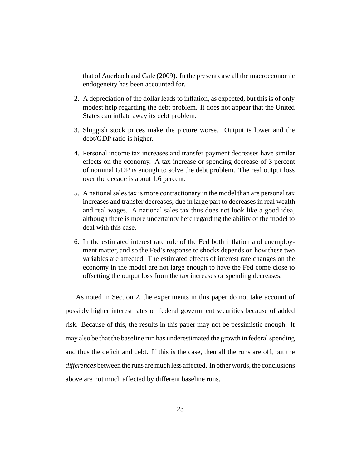that of Auerbach and Gale (2009). In the present case all the macroeconomic endogeneity has been accounted for.

- 2. A depreciation of the dollar leads to inflation, as expected, but this is of only modest help regarding the debt problem. It does not appear that the United States can inflate away its debt problem.
- 3. Sluggish stock prices make the picture worse. Output is lower and the debt/GDP ratio is higher.
- 4. Personal income tax increases and transfer payment decreases have similar effects on the economy. A tax increase or spending decrease of 3 percent of nominal GDP is enough to solve the debt problem. The real output loss over the decade is about 1.6 percent.
- 5. A national sales tax is more contractionary in the model than are personal tax increases and transfer decreases, due in large part to decreases in real wealth and real wages. A national sales tax thus does not look like a good idea, although there is more uncertainty here regarding the ability of the model to deal with this case.
- 6. In the estimated interest rate rule of the Fed both inflation and unemployment matter, and so the Fed's response to shocks depends on how these two variables are affected. The estimated effects of interest rate changes on the economy in the model are not large enough to have the Fed come close to offsetting the output loss from the tax increases or spending decreases.

As noted in Section 2, the experiments in this paper do not take account of possibly higher interest rates on federal government securities because of added risk. Because of this, the results in this paper may not be pessimistic enough. It may also be that the baseline run has underestimated the growth in federal spending and thus the deficit and debt. If this is the case, then all the runs are off, but the *differences* between the runs are much less affected. In other words, the conclusions above are not much affected by different baseline runs.